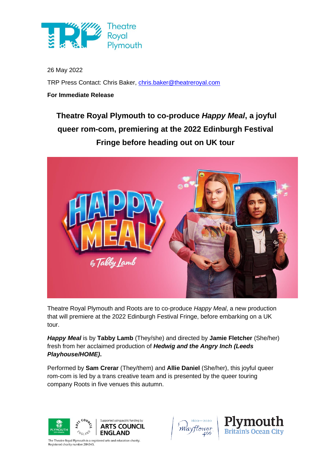

26 May 2022 TRP Press Contact: Chris Baker, [chris.baker@theatreroyal.com](mailto:chris.baker@theatreroyal.com)

**For Immediate Release**

# **Theatre Royal Plymouth to co-produce** *Happy Meal***, a joyful queer rom-com, premiering at the 2022 Edinburgh Festival Fringe before heading out on UK tour**



Theatre Royal Plymouth and Roots are to co-produce *Happy Meal*, a new production that will premiere at the 2022 Edinburgh Festival Fringe, before embarking on a UK tour.

*Happy Meal* is by **Tabby Lamb** (They/she) and directed by **Jamie Fletcher** (She/her) fresh from her acclaimed production of *Hedwig and the Angry Inch (Leeds Playhouse/HOME)***.** 

Performed by **Sam Crerar** (They/them) and **Allie Daniel** (She/her), this joyful queer rom-com is led by a trans creative team and is presented by the queer touring company Roots in five venues this autumn.



The Theatre Royal Plymouth is a registered arts and education charity. Registered charity number 284545



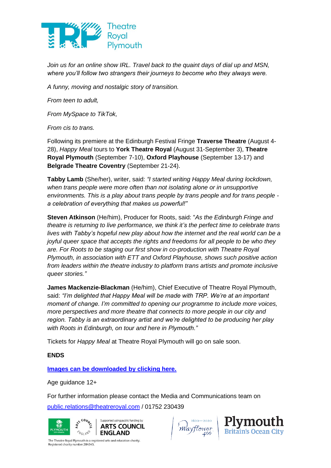

*Join us for an online show IRL. Travel back to the quaint days of dial up and MSN, where you'll follow two strangers their journeys to become who they always were.*

*A funny, moving and nostalgic story of transition.*

*From teen to adult,*

*From MySpace to TikTok,*

*From cis to trans.*

Following its premiere at the Edinburgh Festival Fringe **Traverse Theatre** (August 4- 28), *Happy Meal* tours to **York Theatre Royal** (August 31-September 3), **Theatre Royal Plymouth** (September 7-10), **Oxford Playhouse** (September 13-17) and **Belgrade Theatre Coventry** (September 21-24).

**Tabby Lamb** (She/her), writer, said: *"I started writing Happy Meal during lockdown, when trans people were more often than not isolating alone or in unsupportive environments. This is a play about trans people by trans people and for trans people a celebration of everything that makes us powerful!"*

**Steven Atkinson** (He/him), Producer for Roots, said: "*As the Edinburgh Fringe and theatre is returning to live performance, we think it's the perfect time to celebrate trans lives with Tabby's hopeful new play about how the internet and the real world can be a joyful queer space that accepts the rights and freedoms for all people to be who they are. For Roots to be staging our first show in co-production with Theatre Royal Plymouth, in association with ETT and Oxford Playhouse, shows such positive action from leaders within the theatre industry to platform trans artists and promote inclusive queer stories."*

**James Mackenzie-Blackman** (He/him), Chief Executive of Theatre Royal Plymouth, said: *"I'm delighted that Happy Meal will be made with TRP. We're at an important moment of change. I'm committed to opening our programme to include more voices, more perspectives and more theatre that connects to more people in our city and region. Tabby is an extraordinary artist and we're delighted to be producing her play with Roots in Edinburgh, on tour and here in Plymouth."*

Tickets for *Happy Meal* at Theatre Royal Plymouth will go on sale soon.

# **ENDS**

**[Images can be downloaded by clicking here.](https://flic.kr/s/aHBqjzRxF8)**

Age guidance 12+

For further information please contact the Media and Communications team on [public.relations@theatreroyal.com](mailto:public.relations@theatreroyal.com) / 01752 230439



'Mayflower



The Theatre Royal Plymouth is a registered arts and education charity. egistered charity number 284545!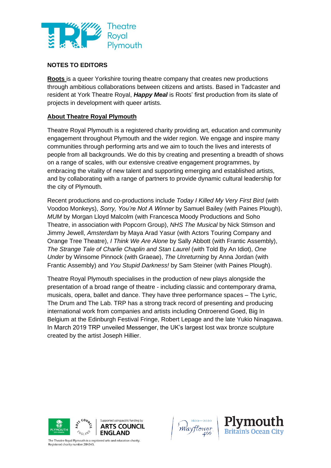

# **NOTES TO EDITORS**

**Roots** is a queer Yorkshire touring theatre company that creates new productions through ambitious collaborations between citizens and artists. Based in Tadcaster and resident at York Theatre Royal, *Happy Meal* is Roots' first production from its slate of projects in development with queer artists.

# **About Theatre Royal Plymouth**

Theatre Royal Plymouth is a registered charity providing art, education and community engagement throughout Plymouth and the wider region. We engage and inspire many communities through performing arts and we aim to touch the lives and interests of people from all backgrounds. We do this by creating and presenting a breadth of shows on a range of scales, with our extensive creative engagement programmes, by embracing the vitality of new talent and supporting emerging and established artists, and by collaborating with a range of partners to provide dynamic cultural leadership for the city of Plymouth.

Recent productions and co-productions include *Today I Killed My Very First Bird* (with Voodoo Monkeys), *Sorry, You're Not A Winner* by Samuel Bailey (with Paines Plough), *MUM* by Morgan Lloyd Malcolm (with Francesca Moody Productions and Soho Theatre, in association with Popcorn Group), *NHS The Musical* by Nick Stimson and Jimmy Jewell, *Amsterdam* by Maya Arad Yasur (with Actors Touring Company and Orange Tree Theatre), *I Think We Are Alone* by Sally Abbott (with Frantic Assembly), *The Strange Tale of Charlie Chaplin and Stan Laurel* (with Told By An Idiot), *One Under* by Winsome Pinnock (with Graeae), *The Unreturning* by Anna Jordan (with Frantic Assembly) and *You Stupid Darkness!* by Sam Steiner (with Paines Plough).

Theatre Royal Plymouth specialises in the production of new plays alongside the presentation of a broad range of theatre - including classic and contemporary drama, musicals, opera, ballet and dance. They have three performance spaces – The Lyric, The Drum and The Lab. TRP has a strong track record of presenting and producing international work from companies and artists including Ontroerend Goed, Big In Belgium at the Edinburgh Festival Fringe, Robert Lepage and the late Yukio Ninagawa. In March 2019 TRP unveiled Messenger, the UK's largest lost wax bronze sculpture created by the artist Joseph Hillier.